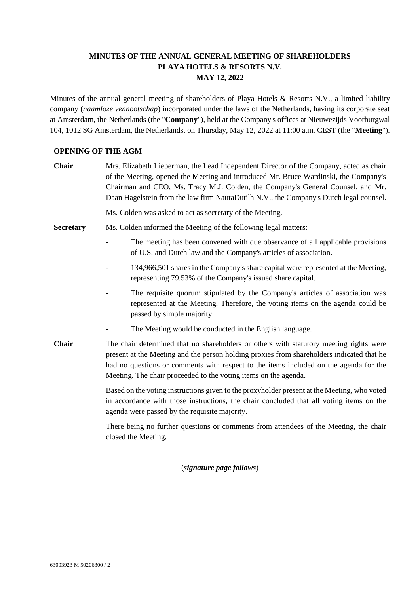## **MINUTES OF THE ANNUAL GENERAL MEETING OF SHAREHOLDERS PLAYA HOTELS & RESORTS N.V. MAY 12, 2022**

Minutes of the annual general meeting of shareholders of Playa Hotels & Resorts N.V., a limited liability company (*naamloze vennootschap*) incorporated under the laws of the Netherlands, having its corporate seat at Amsterdam, the Netherlands (the "**Company**"), held at the Company's offices at Nieuwezijds Voorburgwal 104, 1012 SG Amsterdam, the Netherlands, on Thursday, May 12, 2022 at 11:00 a.m. CEST (the "**Meeting**").

## **OPENING OF THE AGM**

**Chair** Mrs. Elizabeth Lieberman, the Lead Independent Director of the Company, acted as chair of the Meeting, opened the Meeting and introduced Mr. Bruce Wardinski, the Company's Chairman and CEO, Ms. Tracy M.J. Colden, the Company's General Counsel, and Mr. Daan Hagelstein from the law firm NautaDutilh N.V., the Company's Dutch legal counsel.

Ms. Colden was asked to act as secretary of the Meeting.

- **Secretary** Ms. Colden informed the Meeting of the following legal matters:
	- The meeting has been convened with due observance of all applicable provisions of U.S. and Dutch law and the Company's articles of association.
	- 134,966,501 shares in the Company's share capital were represented at the Meeting, representing 79.53% of the Company's issued share capital.
	- The requisite quorum stipulated by the Company's articles of association was represented at the Meeting. Therefore, the voting items on the agenda could be passed by simple majority.
	- The Meeting would be conducted in the English language.
- **Chair** The chair determined that no shareholders or others with statutory meeting rights were present at the Meeting and the person holding proxies from shareholders indicated that he had no questions or comments with respect to the items included on the agenda for the Meeting. The chair proceeded to the voting items on the agenda.

Based on the voting instructions given to the proxyholder present at the Meeting, who voted in accordance with those instructions, the chair concluded that all voting items on the agenda were passed by the requisite majority.

There being no further questions or comments from attendees of the Meeting, the chair closed the Meeting.

## (*signature page follows*)